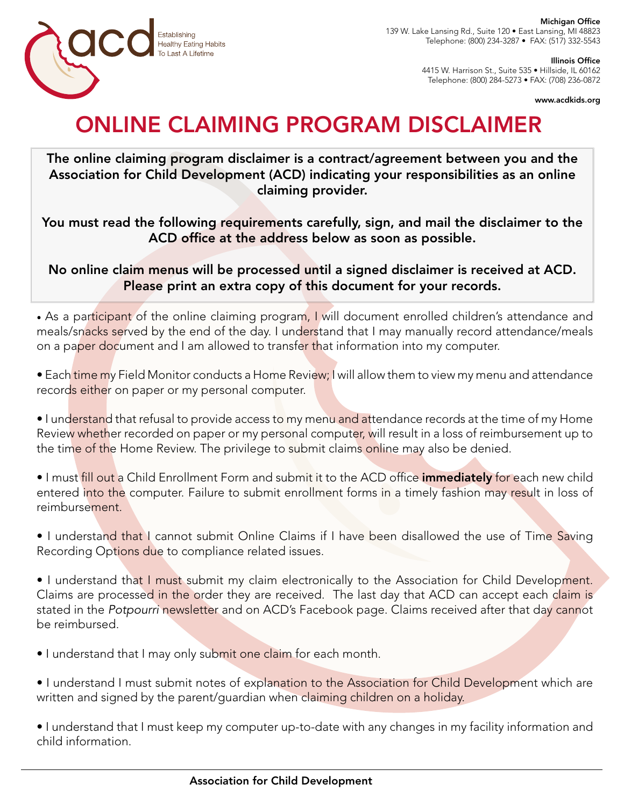

Michigan Office 139 W. Lake Lansing Rd., Suite 120 • East Lansing, MI 48823 Telephone: (800) 234-3287 • FAX: (517) 332-5543

Illinois Office

4415 W. Harrison St., Suite 535 • Hillside, IL 60162 Telephone: (800) 284-5273 • FAX: (708) 236-0872

www.acdkids.org

## ONLINE CLAIMING PROGRAM DISCLAIMER

The online claiming program disclaimer is a contract/agreement between you and the Association for Child Development (ACD) indicating your responsibilities as an online claiming provider.

You must read the following requirements carefully, sign, and mail the disclaimer to the ACD office at the address below as soon as possible.

No online claim menus will be processed until a signed disclaimer is received at ACD. Please print an extra copy of this document for your records.

• As a participant of the online claiming program, I will document enrolled children's attendance and meals/snacks served by the end of the day. I understand that I may manually record attendance/meals on a paper document and I am allowed to transfer that information into my computer.

• Each time my Field Monitor conducts a Home Review; I will allow them to view my menu and attendance records either on paper or my personal computer.

• I understand that refusal to provide access to my menu and attendance records at the time of my Home Review whether recorded on paper or my personal computer, will result in a loss of reimbursement up to the time of the Home Review. The privilege to submit claims online may also be denied.

• I must fill out a Child Enrollment Form and submit it to the ACD office *immediately for each new child* entered into the computer. Failure to submit enrollment forms in a timely fashion may result in loss of reimbursement.

• I understand that I cannot submit Online Claims if I have been disallowed the use of Time Saving Recording Options due to compliance related issues.

• I understand that I must submit my claim electronically to the Association for Child Development. Claims are processed in the order they are received. The last day that ACD can accept each claim is stated in the *Potpourri* newsletter and on ACD's Facebook page. Claims received after that day cannot be reimbursed.

• I understand that I may only submit one claim for each month.

• I understand I must submit notes of explanation to the Association for Child Development which are written and signed by the parent/guardian when claiming children on a holiday.

• I understand that I must keep my computer up-to-date with any changes in my facility information and child information.